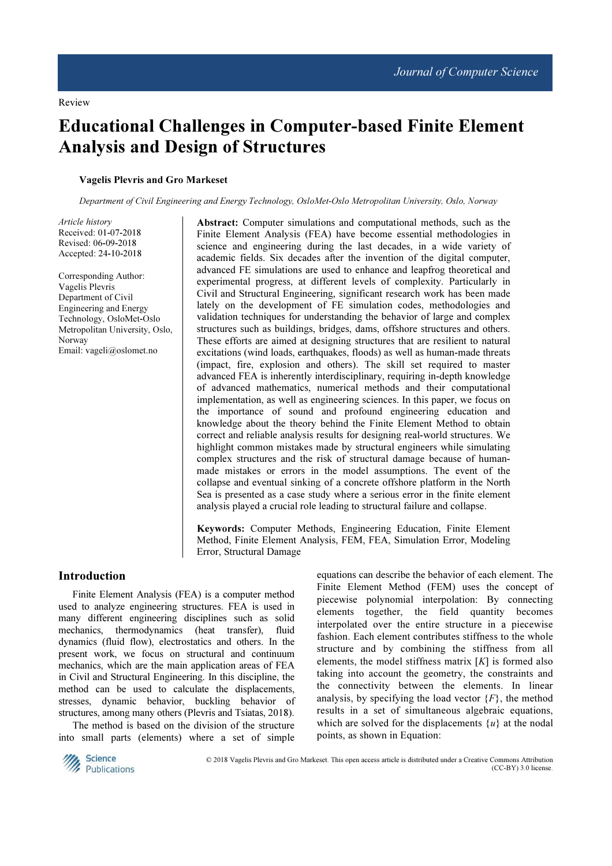Review

# Educational Challenges in Computer-based Finite Element Analysis and Design of Structures

#### Vagelis Plevris and Gro Markeset

Department of Civil Engineering and Energy Technology, OsloMet-Oslo Metropolitan University, Oslo, Norway

Article history Received: 01-07-2018 Revised: 06-09-2018 Accepted: 24-10-2018

Corresponding Author: Vagelis Plevris Department of Civil Engineering and Energy Technology, OsloMet-Oslo Metropolitan University, Oslo, Norway Email: vageli@oslomet.no

Abstract: Computer simulations and computational methods, such as the Finite Element Analysis (FEA) have become essential methodologies in science and engineering during the last decades, in a wide variety of academic fields. Six decades after the invention of the digital computer, advanced FE simulations are used to enhance and leapfrog theoretical and experimental progress, at different levels of complexity. Particularly in Civil and Structural Engineering, significant research work has been made lately on the development of FE simulation codes, methodologies and validation techniques for understanding the behavior of large and complex structures such as buildings, bridges, dams, offshore structures and others. These efforts are aimed at designing structures that are resilient to natural excitations (wind loads, earthquakes, floods) as well as human-made threats (impact, fire, explosion and others). The skill set required to master advanced FEA is inherently interdisciplinary, requiring in-depth knowledge of advanced mathematics, numerical methods and their computational implementation, as well as engineering sciences. In this paper, we focus on the importance of sound and profound engineering education and knowledge about the theory behind the Finite Element Method to obtain correct and reliable analysis results for designing real-world structures. We highlight common mistakes made by structural engineers while simulating complex structures and the risk of structural damage because of humanmade mistakes or errors in the model assumptions. The event of the collapse and eventual sinking of a concrete offshore platform in the North Sea is presented as a case study where a serious error in the finite element analysis played a crucial role leading to structural failure and collapse.

Keywords: Computer Methods, Engineering Education, Finite Element Method, Finite Element Analysis, FEM, FEA, Simulation Error, Modeling Error, Structural Damage

### Introduction

Finite Element Analysis (FEA) is a computer method used to analyze engineering structures. FEA is used in many different engineering disciplines such as solid mechanics, thermodynamics (heat transfer), fluid dynamics (fluid flow), electrostatics and others. In the present work, we focus on structural and continuum mechanics, which are the main application areas of FEA in Civil and Structural Engineering. In this discipline, the method can be used to calculate the displacements, stresses, dynamic behavior, buckling behavior of structures, among many others (Plevris and Tsiatas, 2018).

The method is based on the division of the structure into small parts (elements) where a set of simple equations can describe the behavior of each element. The Finite Element Method (FEM) uses the concept of piecewise polynomial interpolation: By connecting elements together, the field quantity becomes interpolated over the entire structure in a piecewise fashion. Each element contributes stiffness to the whole structure and by combining the stiffness from all elements, the model stiffness matrix  $[K]$  is formed also taking into account the geometry, the constraints and the connectivity between the elements. In linear analysis, by specifying the load vector  $\{F\}$ , the method results in a set of simultaneous algebraic equations, which are solved for the displacements  $\{u\}$  at the nodal points, as shown in Equation:



 © 2018 Vagelis Plevris and Gro Markeset. This open access article is distributed under a Creative Commons Attribution (CC-BY) 3.0 license.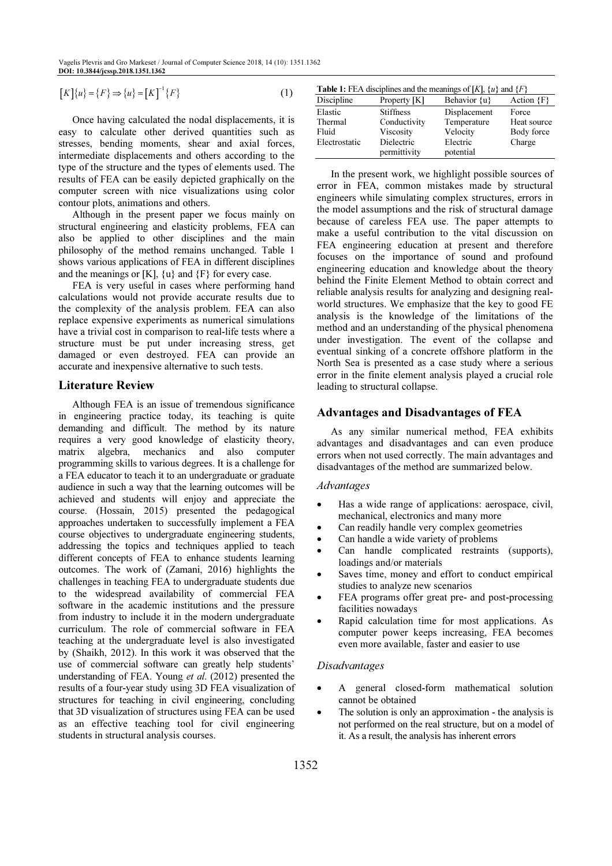$$
[K]\{u\} = \{F\} \Rightarrow \{u\} = [K]^{-1}\{F\}
$$
 (1)

Once having calculated the nodal displacements, it is easy to calculate other derived quantities such as stresses, bending moments, shear and axial forces, intermediate displacements and others according to the type of the structure and the types of elements used. The results of FEA can be easily depicted graphically on the computer screen with nice visualizations using color contour plots, animations and others.

Although in the present paper we focus mainly on structural engineering and elasticity problems, FEA can also be applied to other disciplines and the main philosophy of the method remains unchanged. Table 1 shows various applications of FEA in different disciplines and the meanings or  $[K]$ ,  $\{u\}$  and  $\{F\}$  for every case.

FEA is very useful in cases where performing hand calculations would not provide accurate results due to the complexity of the analysis problem. FEA can also replace expensive experiments as numerical simulations have a trivial cost in comparison to real-life tests where a structure must be put under increasing stress, get damaged or even destroyed. FEA can provide an accurate and inexpensive alternative to such tests.

## Literature Review

Although FEA is an issue of tremendous significance in engineering practice today, its teaching is quite demanding and difficult. The method by its nature requires a very good knowledge of elasticity theory, matrix algebra, mechanics and also computer programming skills to various degrees. It is a challenge for a FEA educator to teach it to an undergraduate or graduate audience in such a way that the learning outcomes will be achieved and students will enjoy and appreciate the course. (Hossain, 2015) presented the pedagogical approaches undertaken to successfully implement a FEA course objectives to undergraduate engineering students, addressing the topics and techniques applied to teach different concepts of FEA to enhance students learning outcomes. The work of (Zamani, 2016) highlights the challenges in teaching FEA to undergraduate students due to the widespread availability of commercial FEA software in the academic institutions and the pressure from industry to include it in the modern undergraduate curriculum. The role of commercial software in FEA teaching at the undergraduate level is also investigated by (Shaikh, 2012). In this work it was observed that the use of commercial software can greatly help students' understanding of FEA. Young et al. (2012) presented the results of a four-year study using 3D FEA visualization of structures for teaching in civil engineering, concluding that 3D visualization of structures using FEA can be used as an effective teaching tool for civil engineering students in structural analysis courses.

| <b>Table 1:</b> FEA disciplines and the meanings of [K], $\{u\}$ and $\{F\}$ |                                                                             |                                                                  |                                              |  |  |  |
|------------------------------------------------------------------------------|-----------------------------------------------------------------------------|------------------------------------------------------------------|----------------------------------------------|--|--|--|
| Discipline                                                                   | Property [K]                                                                | Behavior {u}                                                     | Action ${F}$                                 |  |  |  |
| Elastic<br>Thermal<br>Fluid<br>Electrostatic                                 | <b>Stiffness</b><br>Conductivity<br>Viscosity<br>Dielectric<br>permittivity | Displacement<br>Temperature<br>Velocity<br>Electric<br>potential | Force<br>Heat source<br>Body force<br>Charge |  |  |  |

In the present work, we highlight possible sources of error in FEA, common mistakes made by structural engineers while simulating complex structures, errors in the model assumptions and the risk of structural damage because of careless FEA use. The paper attempts to make a useful contribution to the vital discussion on FEA engineering education at present and therefore focuses on the importance of sound and profound engineering education and knowledge about the theory behind the Finite Element Method to obtain correct and reliable analysis results for analyzing and designing realworld structures. We emphasize that the key to good FE analysis is the knowledge of the limitations of the method and an understanding of the physical phenomena under investigation. The event of the collapse and eventual sinking of a concrete offshore platform in the North Sea is presented as a case study where a serious error in the finite element analysis played a crucial role leading to structural collapse.

## Advantages and Disadvantages of FEA

As any similar numerical method, FEA exhibits advantages and disadvantages and can even produce errors when not used correctly. The main advantages and disadvantages of the method are summarized below.

### *Advantages*

- Has a wide range of applications: aerospace, civil, mechanical, electronics and many more
- Can readily handle very complex geometries
- Can handle a wide variety of problems
- Can handle complicated restraints (supports), loadings and/or materials
- Saves time, money and effort to conduct empirical studies to analyze new scenarios
- FEA programs offer great pre- and post-processing facilities nowadays
- Rapid calculation time for most applications. As computer power keeps increasing, FEA becomes even more available, faster and easier to use

### *Disadvantages*

- A general closed-form mathematical solution cannot be obtained
- The solution is only an approximation the analysis is not performed on the real structure, but on a model of it. As a result, the analysis has inherent errors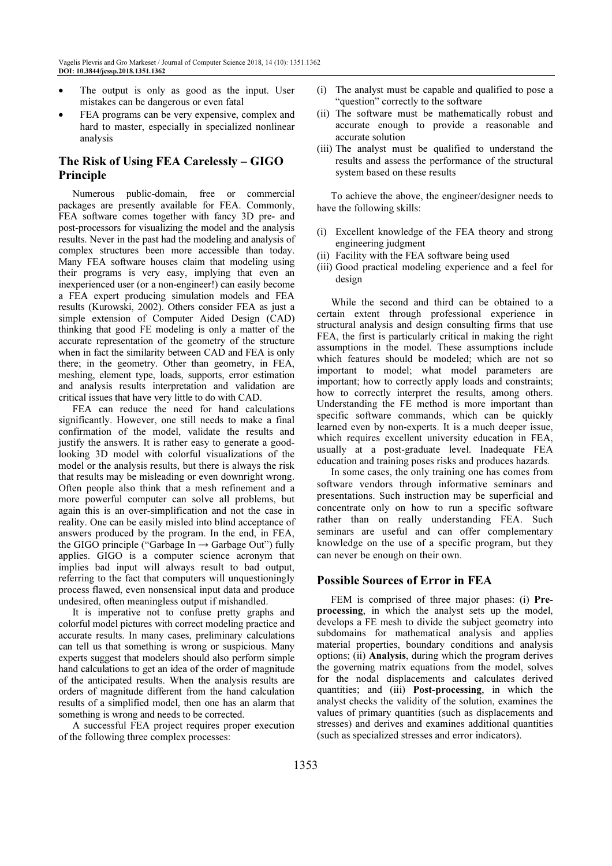- The output is only as good as the input. User mistakes can be dangerous or even fatal
- FEA programs can be very expensive, complex and hard to master, especially in specialized nonlinear analysis

# The Risk of Using FEA Carelessly – GIGO Principle

Numerous public-domain, free or commercial packages are presently available for FEA. Commonly, FEA software comes together with fancy 3D pre- and post-processors for visualizing the model and the analysis results. Never in the past had the modeling and analysis of complex structures been more accessible than today. Many FEA software houses claim that modeling using their programs is very easy, implying that even an inexperienced user (or a non-engineer!) can easily become a FEA expert producing simulation models and FEA results (Kurowski, 2002). Others consider FEA as just a simple extension of Computer Aided Design (CAD) thinking that good FE modeling is only a matter of the accurate representation of the geometry of the structure when in fact the similarity between CAD and FEA is only there; in the geometry. Other than geometry, in FEA, meshing, element type, loads, supports, error estimation and analysis results interpretation and validation are critical issues that have very little to do with CAD.

FEA can reduce the need for hand calculations significantly. However, one still needs to make a final confirmation of the model, validate the results and justify the answers. It is rather easy to generate a goodlooking 3D model with colorful visualizations of the model or the analysis results, but there is always the risk that results may be misleading or even downright wrong. Often people also think that a mesh refinement and a more powerful computer can solve all problems, but again this is an over-simplification and not the case in reality. One can be easily misled into blind acceptance of answers produced by the program. In the end, in FEA, the GIGO principle ("Garbage In  $\rightarrow$  Garbage Out") fully applies. GIGO is a computer science acronym that implies bad input will always result to bad output, referring to the fact that computers will unquestioningly process flawed, even nonsensical input data and produce undesired, often meaningless output if mishandled.

It is imperative not to confuse pretty graphs and colorful model pictures with correct modeling practice and accurate results. In many cases, preliminary calculations can tell us that something is wrong or suspicious. Many experts suggest that modelers should also perform simple hand calculations to get an idea of the order of magnitude of the anticipated results. When the analysis results are orders of magnitude different from the hand calculation results of a simplified model, then one has an alarm that something is wrong and needs to be corrected.

A successful FEA project requires proper execution of the following three complex processes:

- (i) The analyst must be capable and qualified to pose a "question" correctly to the software
- (ii) The software must be mathematically robust and accurate enough to provide a reasonable and accurate solution
- (iii) The analyst must be qualified to understand the results and assess the performance of the structural system based on these results

To achieve the above, the engineer/designer needs to have the following skills:

- (i) Excellent knowledge of the FEA theory and strong engineering judgment
- (ii) Facility with the FEA software being used
- (iii) Good practical modeling experience and a feel for design

While the second and third can be obtained to a certain extent through professional experience in structural analysis and design consulting firms that use FEA, the first is particularly critical in making the right assumptions in the model. These assumptions include which features should be modeled; which are not so important to model; what model parameters are important; how to correctly apply loads and constraints; how to correctly interpret the results, among others. Understanding the FE method is more important than specific software commands, which can be quickly learned even by non-experts. It is a much deeper issue, which requires excellent university education in FEA, usually at a post-graduate level. Inadequate FEA education and training poses risks and produces hazards.

In some cases, the only training one has comes from software vendors through informative seminars and presentations. Such instruction may be superficial and concentrate only on how to run a specific software rather than on really understanding FEA. Such seminars are useful and can offer complementary knowledge on the use of a specific program, but they can never be enough on their own.

## Possible Sources of Error in FEA

FEM is comprised of three major phases: (i) Preprocessing, in which the analyst sets up the model, develops a FE mesh to divide the subject geometry into subdomains for mathematical analysis and applies material properties, boundary conditions and analysis options; (ii) Analysis, during which the program derives the governing matrix equations from the model, solves for the nodal displacements and calculates derived quantities; and (iii) Post-processing, in which the analyst checks the validity of the solution, examines the values of primary quantities (such as displacements and stresses) and derives and examines additional quantities (such as specialized stresses and error indicators).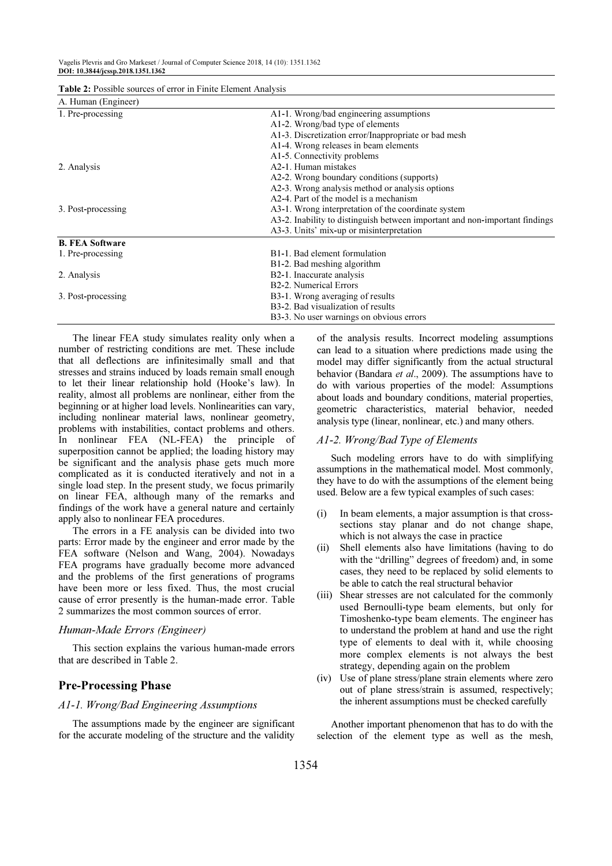| <b>Table 2:</b> Possible sources of error in Finite Element Analysis |  |  |  |  |
|----------------------------------------------------------------------|--|--|--|--|
|                                                                      |  |  |  |  |

| A. Human (Engineer)    |                                                                             |  |  |
|------------------------|-----------------------------------------------------------------------------|--|--|
| 1. Pre-processing      | A1-1. Wrong/bad engineering assumptions                                     |  |  |
|                        | A1-2. Wrong/bad type of elements                                            |  |  |
|                        | A1-3. Discretization error/Inappropriate or bad mesh                        |  |  |
|                        | A1-4. Wrong releases in beam elements                                       |  |  |
|                        | A1-5. Connectivity problems                                                 |  |  |
| 2. Analysis            | A <sub>2</sub> -1. Human mistakes                                           |  |  |
|                        | A2-2. Wrong boundary conditions (supports)                                  |  |  |
|                        | A2-3. Wrong analysis method or analysis options                             |  |  |
|                        | A2-4. Part of the model is a mechanism                                      |  |  |
| 3. Post-processing     | A3-1. Wrong interpretation of the coordinate system                         |  |  |
|                        | A3-2. Inability to distinguish between important and non-important findings |  |  |
|                        | A3-3. Units' mix-up or misinterpretation                                    |  |  |
| <b>B. FEA Software</b> |                                                                             |  |  |
| 1. Pre-processing      | B1-1. Bad element formulation                                               |  |  |
|                        | B1-2. Bad meshing algorithm                                                 |  |  |
| 2. Analysis            | B <sub>2</sub> -1. Inaccurate analysis                                      |  |  |
|                        | B <sub>2</sub> -2. Numerical Errors                                         |  |  |
| 3. Post-processing     | B3-1. Wrong averaging of results                                            |  |  |
|                        | B <sub>3</sub> -2. Bad visualization of results                             |  |  |
|                        | B3-3. No user warnings on obvious errors                                    |  |  |

The linear FEA study simulates reality only when a number of restricting conditions are met. These include that all deflections are infinitesimally small and that stresses and strains induced by loads remain small enough to let their linear relationship hold (Hooke's law). In reality, almost all problems are nonlinear, either from the beginning or at higher load levels. Nonlinearities can vary, including nonlinear material laws, nonlinear geometry, problems with instabilities, contact problems and others. In nonlinear FEA (NL-FEA) the principle of superposition cannot be applied; the loading history may be significant and the analysis phase gets much more complicated as it is conducted iteratively and not in a single load step. In the present study, we focus primarily on linear FEA, although many of the remarks and findings of the work have a general nature and certainly apply also to nonlinear FEA procedures.

The errors in a FE analysis can be divided into two parts: Error made by the engineer and error made by the FEA software (Nelson and Wang, 2004). Nowadays FEA programs have gradually become more advanced and the problems of the first generations of programs have been more or less fixed. Thus, the most crucial cause of error presently is the human-made error. Table 2 summarizes the most common sources of error.

#### *Human-Made Errors (Engineer)*

This section explains the various human-made errors that are described in Table 2.

## Pre-Processing Phase

## *A1-1. Wrong/Bad Engineering Assumptions*

The assumptions made by the engineer are significant for the accurate modeling of the structure and the validity of the analysis results. Incorrect modeling assumptions can lead to a situation where predictions made using the model may differ significantly from the actual structural behavior (Bandara et al., 2009). The assumptions have to do with various properties of the model: Assumptions about loads and boundary conditions, material properties, geometric characteristics, material behavior, needed analysis type (linear, nonlinear, etc.) and many others.

#### *A1-2. Wrong/Bad Type of Elements*

Such modeling errors have to do with simplifying assumptions in the mathematical model. Most commonly, they have to do with the assumptions of the element being used. Below are a few typical examples of such cases:

- (i) In beam elements, a major assumption is that crosssections stay planar and do not change shape, which is not always the case in practice
- (ii) Shell elements also have limitations (having to do with the "drilling" degrees of freedom) and, in some cases, they need to be replaced by solid elements to be able to catch the real structural behavior
- (iii) Shear stresses are not calculated for the commonly used Bernoulli-type beam elements, but only for Timoshenko-type beam elements. The engineer has to understand the problem at hand and use the right type of elements to deal with it, while choosing more complex elements is not always the best strategy, depending again on the problem
- (iv) Use of plane stress/plane strain elements where zero out of plane stress/strain is assumed, respectively; the inherent assumptions must be checked carefully

Another important phenomenon that has to do with the selection of the element type as well as the mesh,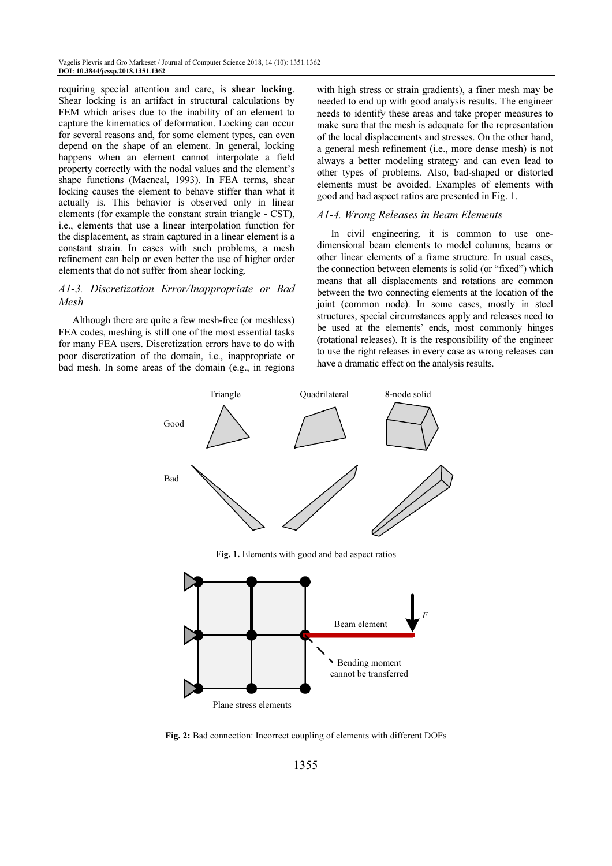requiring special attention and care, is shear locking. Shear locking is an artifact in structural calculations by FEM which arises due to the inability of an element to capture the kinematics of deformation. Locking can occur for several reasons and, for some element types, can even depend on the shape of an element. In general, locking happens when an element cannot interpolate a field property correctly with the nodal values and the element's shape functions (Macneal, 1993). In FEA terms, shear locking causes the element to behave stiffer than what it actually is. This behavior is observed only in linear elements (for example the constant strain triangle - CST), i.e., elements that use a linear interpolation function for the displacement, as strain captured in a linear element is a constant strain. In cases with such problems, a mesh refinement can help or even better the use of higher order elements that do not suffer from shear locking.

## *A1-3. Discretization Error/Inappropriate or Bad Mesh*

Although there are quite a few mesh-free (or meshless) FEA codes, meshing is still one of the most essential tasks for many FEA users. Discretization errors have to do with poor discretization of the domain, i.e., inappropriate or bad mesh. In some areas of the domain (e.g., in regions with high stress or strain gradients), a finer mesh may be needed to end up with good analysis results. The engineer needs to identify these areas and take proper measures to make sure that the mesh is adequate for the representation of the local displacements and stresses. On the other hand, a general mesh refinement (i.e., more dense mesh) is not always a better modeling strategy and can even lead to other types of problems. Also, bad-shaped or distorted elements must be avoided. Examples of elements with good and bad aspect ratios are presented in Fig. 1.

#### *A1-4. Wrong Releases in Beam Elements*

In civil engineering, it is common to use onedimensional beam elements to model columns, beams or other linear elements of a frame structure. In usual cases, the connection between elements is solid (or "fixed") which means that all displacements and rotations are common between the two connecting elements at the location of the joint (common node). In some cases, mostly in steel structures, special circumstances apply and releases need to be used at the elements' ends, most commonly hinges (rotational releases). It is the responsibility of the engineer to use the right releases in every case as wrong releases can have a dramatic effect on the analysis results.



Plane stress elements

Fig. 2: Bad connection: Incorrect coupling of elements with different DOFs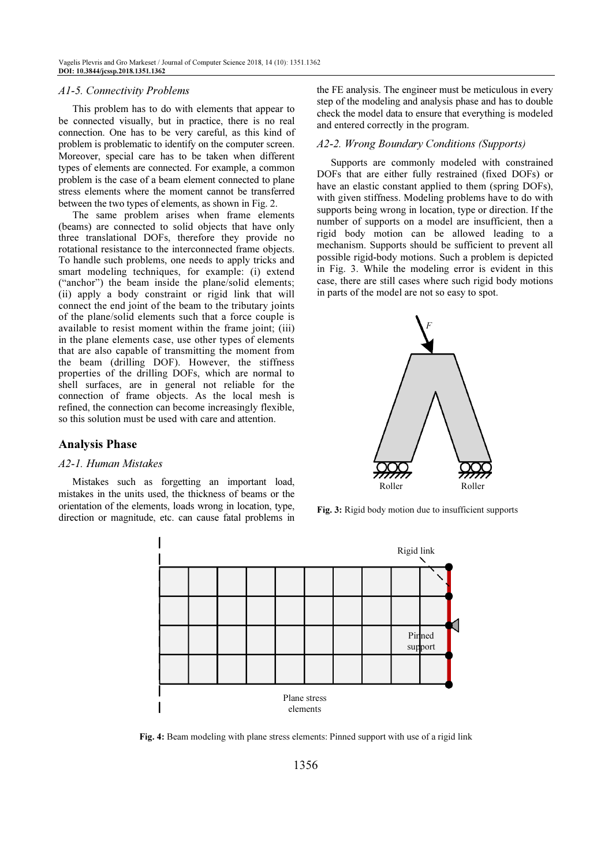## *A1-5. Connectivity Problems*

This problem has to do with elements that appear to be connected visually, but in practice, there is no real connection. One has to be very careful, as this kind of problem is problematic to identify on the computer screen. Moreover, special care has to be taken when different types of elements are connected. For example, a common problem is the case of a beam element connected to plane stress elements where the moment cannot be transferred between the two types of elements, as shown in Fig. 2.

The same problem arises when frame elements (beams) are connected to solid objects that have only three translational DOFs, therefore they provide no rotational resistance to the interconnected frame objects. To handle such problems, one needs to apply tricks and smart modeling techniques, for example: (i) extend ("anchor") the beam inside the plane/solid elements; (ii) apply a body constraint or rigid link that will connect the end joint of the beam to the tributary joints of the plane/solid elements such that a force couple is available to resist moment within the frame joint; (iii) in the plane elements case, use other types of elements that are also capable of transmitting the moment from the beam (drilling DOF). However, the stiffness properties of the drilling DOFs, which are normal to shell surfaces, are in general not reliable for the connection of frame objects. As the local mesh is refined, the connection can become increasingly flexible, so this solution must be used with care and attention.

## Analysis Phase

#### *A2-1. Human Mistakes*

Mistakes such as forgetting an important load, mistakes in the units used, the thickness of beams or the orientation of the elements, loads wrong in location, type, direction or magnitude, etc. can cause fatal problems in the FE analysis. The engineer must be meticulous in every step of the modeling and analysis phase and has to double check the model data to ensure that everything is modeled and entered correctly in the program.

#### *A2-2. Wrong Boundary Conditions (Supports)*

Supports are commonly modeled with constrained DOFs that are either fully restrained (fixed DOFs) or have an elastic constant applied to them (spring DOFs), with given stiffness. Modeling problems have to do with supports being wrong in location, type or direction. If the number of supports on a model are insufficient, then a rigid body motion can be allowed leading to a mechanism. Supports should be sufficient to prevent all possible rigid-body motions. Such a problem is depicted in Fig. 3. While the modeling error is evident in this case, there are still cases where such rigid body motions in parts of the model are not so easy to spot.



Fig. 3: Rigid body motion due to insufficient supports



Fig. 4: Beam modeling with plane stress elements: Pinned support with use of a rigid link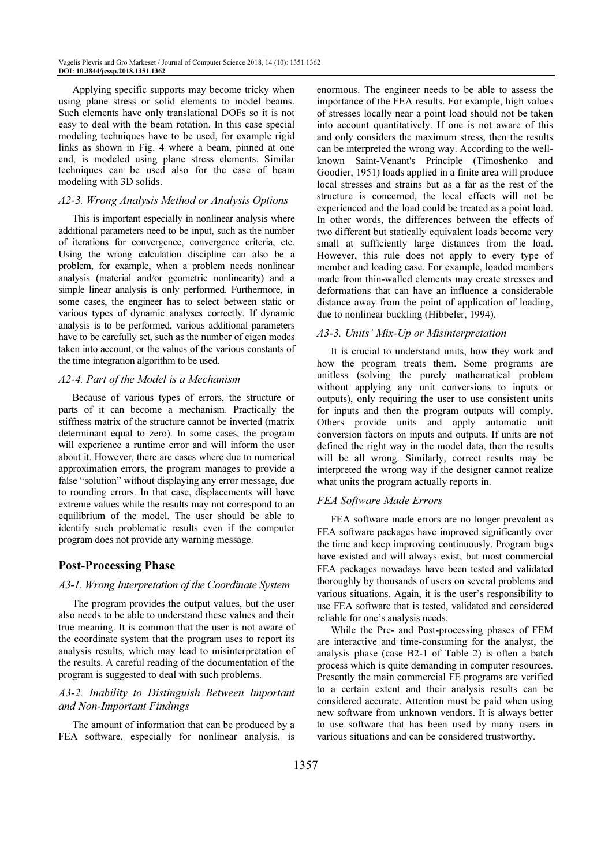Applying specific supports may become tricky when using plane stress or solid elements to model beams. Such elements have only translational DOFs so it is not easy to deal with the beam rotation. In this case special modeling techniques have to be used, for example rigid links as shown in Fig. 4 where a beam, pinned at one end, is modeled using plane stress elements. Similar techniques can be used also for the case of beam modeling with 3D solids.

## *A2-3. Wrong Analysis Method or Analysis Options*

This is important especially in nonlinear analysis where additional parameters need to be input, such as the number of iterations for convergence, convergence criteria, etc. Using the wrong calculation discipline can also be a problem, for example, when a problem needs nonlinear analysis (material and/or geometric nonlinearity) and a simple linear analysis is only performed. Furthermore, in some cases, the engineer has to select between static or various types of dynamic analyses correctly. If dynamic analysis is to be performed, various additional parameters have to be carefully set, such as the number of eigen modes taken into account, or the values of the various constants of the time integration algorithm to be used.

## *A2-4. Part of the Model is a Mechanism*

Because of various types of errors, the structure or parts of it can become a mechanism. Practically the stiffness matrix of the structure cannot be inverted (matrix determinant equal to zero). In some cases, the program will experience a runtime error and will inform the user about it. However, there are cases where due to numerical approximation errors, the program manages to provide a false "solution" without displaying any error message, due to rounding errors. In that case, displacements will have extreme values while the results may not correspond to an equilibrium of the model. The user should be able to identify such problematic results even if the computer program does not provide any warning message.

## Post-Processing Phase

### *A3-1. Wrong Interpretation of the Coordinate System*

The program provides the output values, but the user also needs to be able to understand these values and their true meaning. It is common that the user is not aware of the coordinate system that the program uses to report its analysis results, which may lead to misinterpretation of the results. A careful reading of the documentation of the program is suggested to deal with such problems.

## *A3-2. Inability to Distinguish Between Important and Non-Important Findings*

The amount of information that can be produced by a FEA software, especially for nonlinear analysis, is enormous. The engineer needs to be able to assess the importance of the FEA results. For example, high values of stresses locally near a point load should not be taken into account quantitatively. If one is not aware of this and only considers the maximum stress, then the results can be interpreted the wrong way. According to the wellknown Saint-Venant's Principle (Timoshenko and Goodier, 1951) loads applied in a finite area will produce local stresses and strains but as a far as the rest of the structure is concerned, the local effects will not be experienced and the load could be treated as a point load. In other words, the differences between the effects of two different but statically equivalent loads become very small at sufficiently large distances from the load. However, this rule does not apply to every type of member and loading case. For example, loaded members made from thin-walled elements may create stresses and deformations that can have an influence a considerable distance away from the point of application of loading, due to nonlinear buckling (Hibbeler, 1994).

## *A3-3. Units' Mix-Up or Misinterpretation*

It is crucial to understand units, how they work and how the program treats them. Some programs are unitless (solving the purely mathematical problem without applying any unit conversions to inputs or outputs), only requiring the user to use consistent units for inputs and then the program outputs will comply. Others provide units and apply automatic unit conversion factors on inputs and outputs. If units are not defined the right way in the model data, then the results will be all wrong. Similarly, correct results may be interpreted the wrong way if the designer cannot realize what units the program actually reports in.

## *FEA Software Made Errors*

FEA software made errors are no longer prevalent as FEA software packages have improved significantly over the time and keep improving continuously. Program bugs have existed and will always exist, but most commercial FEA packages nowadays have been tested and validated thoroughly by thousands of users on several problems and various situations. Again, it is the user's responsibility to use FEA software that is tested, validated and considered reliable for one's analysis needs.

While the Pre- and Post-processing phases of FEM are interactive and time-consuming for the analyst, the analysis phase (case B2-1 of Table 2) is often a batch process which is quite demanding in computer resources. Presently the main commercial FE programs are verified to a certain extent and their analysis results can be considered accurate. Attention must be paid when using new software from unknown vendors. It is always better to use software that has been used by many users in various situations and can be considered trustworthy.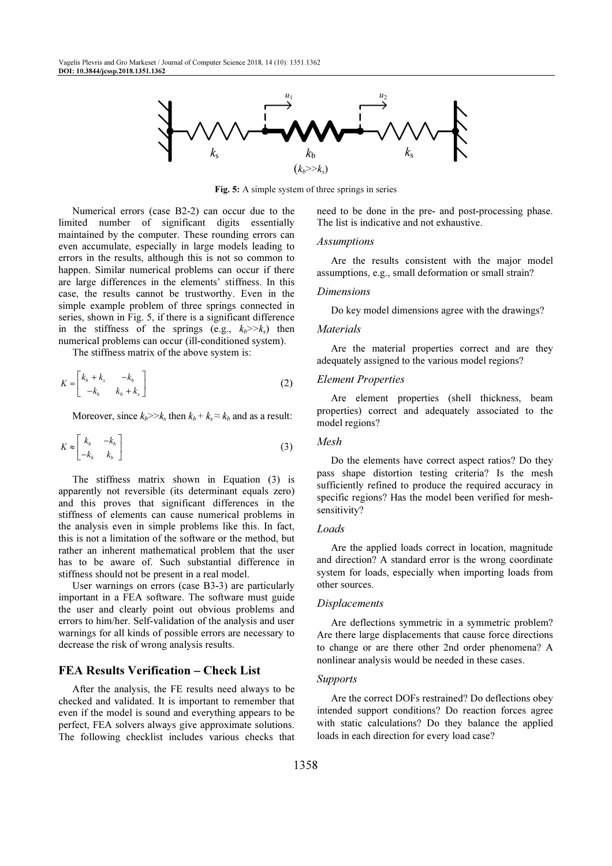

Fig. 5: A simple system of three springs in series

Numerical errors (case B2-2) can occur due to the limited number of significant digits essentially maintained by the computer. These rounding errors can even accumulate, especially in large models leading to errors in the results, although this is not so common to happen. Similar numerical problems can occur if there are large differences in the elements' stiffness. In this case, the results cannot be trustworthy. Even in the simple example problem of three springs connected in series, shown in Fig. 5, if there is a significant difference in the stiffness of the springs (e.g.,  $k_b \ge k_s$ ) then numerical problems can occur (ill-conditioned system).

The stiffness matrix of the above system is:

$$
K = \begin{bmatrix} k_b + k_s & -k_b \\ -k_b & k_b + k_s \end{bmatrix}
$$
 (2)

Moreover, since  $k_b \ge k_s$  then  $k_b + k_s \approx k_b$  and as a result:

$$
K \approx \begin{bmatrix} k_b & -k_b \\ -k_b & k_b \end{bmatrix} \tag{3}
$$

The stiffness matrix shown in Equation (3) is apparently not reversible (its determinant equals zero) and this proves that significant differences in the stiffness of elements can cause numerical problems in the analysis even in simple problems like this. In fact, this is not a limitation of the software or the method, but rather an inherent mathematical problem that the user has to be aware of. Such substantial difference in stiffness should not be present in a real model.

User warnings on errors (case B3-3) are particularly important in a FEA software. The software must guide the user and clearly point out obvious problems and errors to him/her. Self-validation of the analysis and user warnings for all kinds of possible errors are necessary to decrease the risk of wrong analysis results.

## FEA Results Verification – Check List

After the analysis, the FE results need always to be checked and validated. It is important to remember that even if the model is sound and everything appears to be perfect, FEA solvers always give approximate solutions. The following checklist includes various checks that need to be done in the pre- and post-processing phase. The list is indicative and not exhaustive.

#### *Assumptions*

Are the results consistent with the major model assumptions, e.g., small deformation or small strain?

#### *Dimensions*

Do key model dimensions agree with the drawings?

#### *Materials*

Are the material properties correct and are they adequately assigned to the various model regions?

## *Element Properties*

Are element properties (shell thickness, beam properties) correct and adequately associated to the model regions?

#### *Mesh*

Do the elements have correct aspect ratios? Do they pass shape distortion testing criteria? Is the mesh sufficiently refined to produce the required accuracy in specific regions? Has the model been verified for meshsensitivity?

#### *Loads*

Are the applied loads correct in location, magnitude and direction? A standard error is the wrong coordinate system for loads, especially when importing loads from other sources.

#### *Displacements*

Are deflections symmetric in a symmetric problem? Are there large displacements that cause force directions to change or are there other 2nd order phenomena? A nonlinear analysis would be needed in these cases.

### *Supports*

Are the correct DOFs restrained? Do deflections obey intended support conditions? Do reaction forces agree with static calculations? Do they balance the applied loads in each direction for every load case?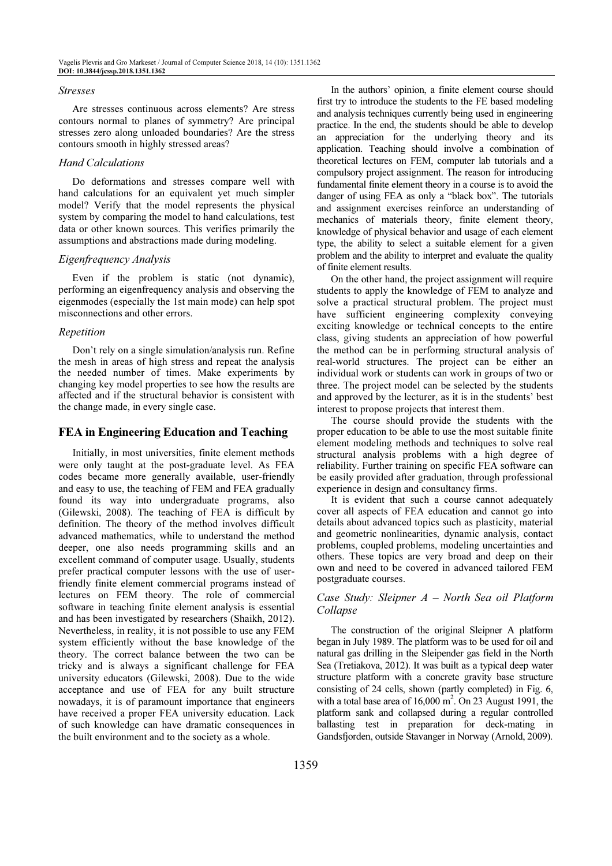#### *Stresses*

Are stresses continuous across elements? Are stress contours normal to planes of symmetry? Are principal stresses zero along unloaded boundaries? Are the stress contours smooth in highly stressed areas?

### *Hand Calculations*

Do deformations and stresses compare well with hand calculations for an equivalent yet much simpler model? Verify that the model represents the physical system by comparing the model to hand calculations, test data or other known sources. This verifies primarily the assumptions and abstractions made during modeling.

### *Eigenfrequency Analysis*

Even if the problem is static (not dynamic), performing an eigenfrequency analysis and observing the eigenmodes (especially the 1st main mode) can help spot misconnections and other errors.

## *Repetition*

Don't rely on a single simulation/analysis run. Refine the mesh in areas of high stress and repeat the analysis the needed number of times. Make experiments by changing key model properties to see how the results are affected and if the structural behavior is consistent with the change made, in every single case.

## FEA in Engineering Education and Teaching

Initially, in most universities, finite element methods were only taught at the post-graduate level. As FEA codes became more generally available, user-friendly and easy to use, the teaching of FEM and FEA gradually found its way into undergraduate programs, also (Gilewski, 2008). The teaching of FEA is difficult by definition. The theory of the method involves difficult advanced mathematics, while to understand the method deeper, one also needs programming skills and an excellent command of computer usage. Usually, students prefer practical computer lessons with the use of userfriendly finite element commercial programs instead of lectures on FEM theory. The role of commercial software in teaching finite element analysis is essential and has been investigated by researchers (Shaikh, 2012). Nevertheless, in reality, it is not possible to use any FEM system efficiently without the base knowledge of the theory. The correct balance between the two can be tricky and is always a significant challenge for FEA university educators (Gilewski, 2008). Due to the wide acceptance and use of FEA for any built structure nowadays, it is of paramount importance that engineers have received a proper FEA university education. Lack of such knowledge can have dramatic consequences in the built environment and to the society as a whole.

In the authors' opinion, a finite element course should first try to introduce the students to the FE based modeling and analysis techniques currently being used in engineering practice. In the end, the students should be able to develop an appreciation for the underlying theory and its application. Teaching should involve a combination of theoretical lectures on FEM, computer lab tutorials and a compulsory project assignment. The reason for introducing fundamental finite element theory in a course is to avoid the danger of using FEA as only a "black box". The tutorials and assignment exercises reinforce an understanding of mechanics of materials theory, finite element theory, knowledge of physical behavior and usage of each element type, the ability to select a suitable element for a given problem and the ability to interpret and evaluate the quality of finite element results.

On the other hand, the project assignment will require students to apply the knowledge of FEM to analyze and solve a practical structural problem. The project must have sufficient engineering complexity conveying exciting knowledge or technical concepts to the entire class, giving students an appreciation of how powerful the method can be in performing structural analysis of real-world structures. The project can be either an individual work or students can work in groups of two or three. The project model can be selected by the students and approved by the lecturer, as it is in the students' best interest to propose projects that interest them.

The course should provide the students with the proper education to be able to use the most suitable finite element modeling methods and techniques to solve real structural analysis problems with a high degree of reliability. Further training on specific FEA software can be easily provided after graduation, through professional experience in design and consultancy firms.

It is evident that such a course cannot adequately cover all aspects of FEA education and cannot go into details about advanced topics such as plasticity, material and geometric nonlinearities, dynamic analysis, contact problems, coupled problems, modeling uncertainties and others. These topics are very broad and deep on their own and need to be covered in advanced tailored FEM postgraduate courses.

## *Case Study: Sleipner A – North Sea oil Platform Collapse*

The construction of the original Sleipner A platform began in July 1989. The platform was to be used for oil and natural gas drilling in the Sleipender gas field in the North Sea (Tretiakova, 2012). It was built as a typical deep water structure platform with a concrete gravity base structure consisting of 24 cells, shown (partly completed) in Fig. 6, with a total base area of  $16,000 \text{ m}^2$ . On 23 August 1991, the platform sank and collapsed during a regular controlled ballasting test in preparation for deck-mating in Gandsfjorden, outside Stavanger in Norway (Arnold, 2009).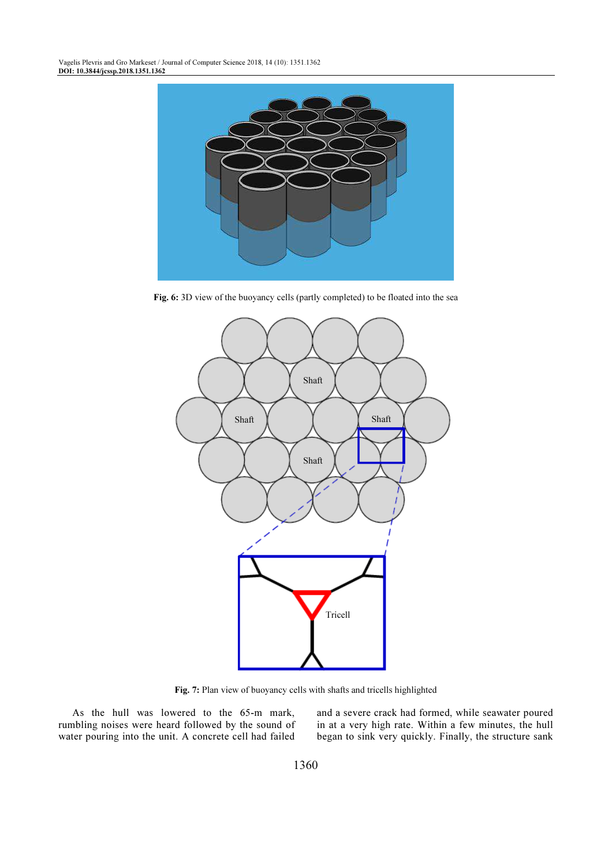

Fig. 6: 3D view of the buoyancy cells (partly completed) to be floated into the sea



Fig. 7: Plan view of buoyancy cells with shafts and tricells highlighted

As the hull was lowered to the 65-m mark, rumbling noises were heard followed by the sound of water pouring into the unit. A concrete cell had failed

and a severe crack had formed, while seawater poured in at a very high rate. Within a few minutes, the hull began to sink very quickly. Finally, the structure sank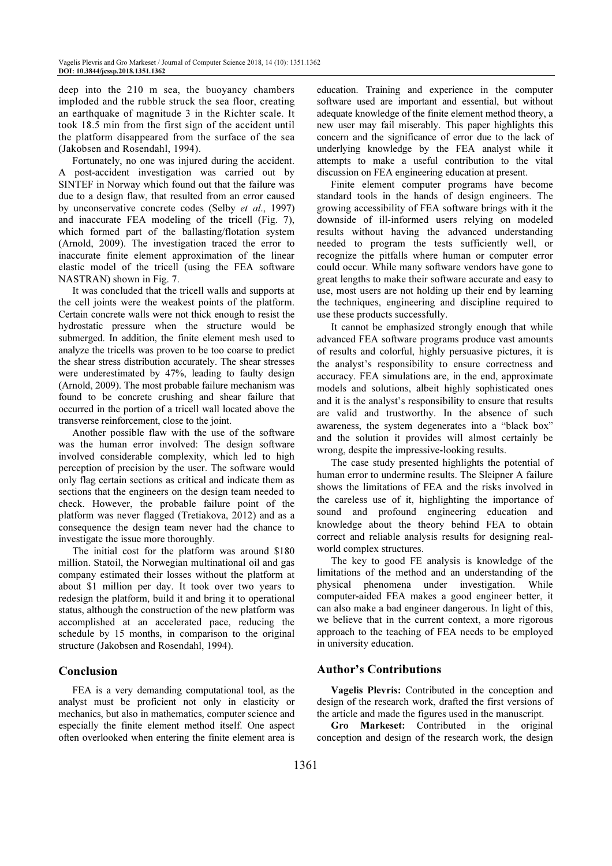deep into the 210 m sea, the buoyancy chambers imploded and the rubble struck the sea floor, creating an earthquake of magnitude 3 in the Richter scale. It took 18.5 min from the first sign of the accident until the platform disappeared from the surface of the sea (Jakobsen and Rosendahl, 1994).

Fortunately, no one was injured during the accident. A post-accident investigation was carried out by SINTEF in Norway which found out that the failure was due to a design flaw, that resulted from an error caused by unconservative concrete codes (Selby et al., 1997) and inaccurate FEA modeling of the tricell (Fig. 7), which formed part of the ballasting/flotation system (Arnold, 2009). The investigation traced the error to inaccurate finite element approximation of the linear elastic model of the tricell (using the FEA software NASTRAN) shown in Fig. 7.

It was concluded that the tricell walls and supports at the cell joints were the weakest points of the platform. Certain concrete walls were not thick enough to resist the hydrostatic pressure when the structure would be submerged. In addition, the finite element mesh used to analyze the tricells was proven to be too coarse to predict the shear stress distribution accurately. The shear stresses were underestimated by 47%, leading to faulty design (Arnold, 2009). The most probable failure mechanism was found to be concrete crushing and shear failure that occurred in the portion of a tricell wall located above the transverse reinforcement, close to the joint.

Another possible flaw with the use of the software was the human error involved: The design software involved considerable complexity, which led to high perception of precision by the user. The software would only flag certain sections as critical and indicate them as sections that the engineers on the design team needed to check. However, the probable failure point of the platform was never flagged (Tretiakova, 2012) and as a consequence the design team never had the chance to investigate the issue more thoroughly.

The initial cost for the platform was around \$180 million. Statoil, the Norwegian multinational oil and gas company estimated their losses without the platform at about \$1 million per day. It took over two years to redesign the platform, build it and bring it to operational status, although the construction of the new platform was accomplished at an accelerated pace, reducing the schedule by 15 months, in comparison to the original structure (Jakobsen and Rosendahl, 1994).

# Conclusion

FEA is a very demanding computational tool, as the analyst must be proficient not only in elasticity or mechanics, but also in mathematics, computer science and especially the finite element method itself. One aspect often overlooked when entering the finite element area is education. Training and experience in the computer software used are important and essential, but without adequate knowledge of the finite element method theory, a new user may fail miserably. This paper highlights this concern and the significance of error due to the lack of underlying knowledge by the FEA analyst while it attempts to make a useful contribution to the vital discussion on FEA engineering education at present.

Finite element computer programs have become standard tools in the hands of design engineers. The growing accessibility of FEA software brings with it the downside of ill-informed users relying on modeled results without having the advanced understanding needed to program the tests sufficiently well, or recognize the pitfalls where human or computer error could occur. While many software vendors have gone to great lengths to make their software accurate and easy to use, most users are not holding up their end by learning the techniques, engineering and discipline required to use these products successfully.

It cannot be emphasized strongly enough that while advanced FEA software programs produce vast amounts of results and colorful, highly persuasive pictures, it is the analyst's responsibility to ensure correctness and accuracy. FEA simulations are, in the end, approximate models and solutions, albeit highly sophisticated ones and it is the analyst's responsibility to ensure that results are valid and trustworthy. In the absence of such awareness, the system degenerates into a "black box" and the solution it provides will almost certainly be wrong, despite the impressive-looking results.

The case study presented highlights the potential of human error to undermine results. The Sleipner A failure shows the limitations of FEA and the risks involved in the careless use of it, highlighting the importance of sound and profound engineering education and knowledge about the theory behind FEA to obtain correct and reliable analysis results for designing realworld complex structures.

The key to good FE analysis is knowledge of the limitations of the method and an understanding of the physical phenomena under investigation. While computer-aided FEA makes a good engineer better, it can also make a bad engineer dangerous. In light of this, we believe that in the current context, a more rigorous approach to the teaching of FEA needs to be employed in university education.

# Author's Contributions

Vagelis Plevris: Contributed in the conception and design of the research work, drafted the first versions of the article and made the figures used in the manuscript.

Gro Markeset: Contributed in the original conception and design of the research work, the design